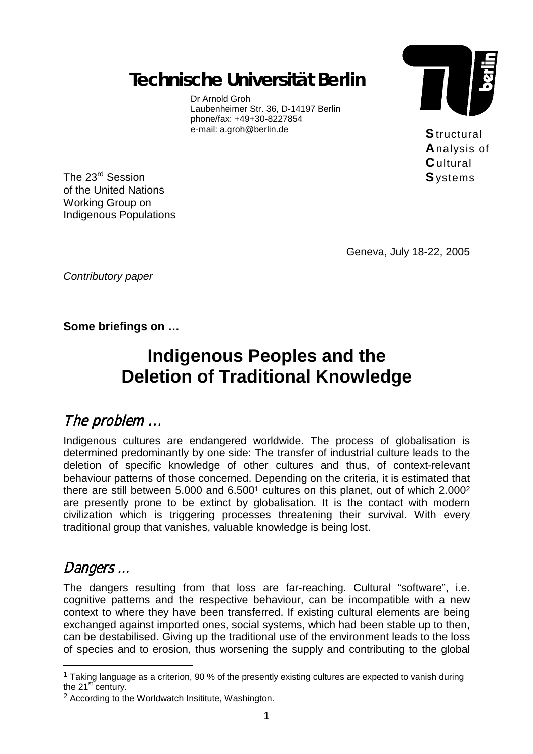*Technische Universität Berlin* 

Dr Arnold Groh Laubenheimer Str. 36, D-14197 Berlin phone/fax: +49+30-8227854 e-mail: a.groh@berlin.de



**S**tructural **A**nalysis of **C**ultural **S**ystems

The 23<sup>rd</sup> Session of the United Nations Working Group on Indigenous Populations

Geneva, July 18-22, 2005

*Contributory paper* 

**Some briefings on …** 

# **Indigenous Peoples and the Deletion of Traditional Knowledge**

### The problem ...

Indigenous cultures are endangered worldwide. The process of globalisation is determined predominantly by one side: The transfer of industrial culture leads to the deletion of specific knowledge of other cultures and thus, of context-relevant behaviour patterns of those concerned. Depending on the criteria, it is estimated that there are still between 5.000 and  $6.500<sup>1</sup>$  cultures on this planet, out of which 2.000<sup>2</sup> are presently prone to be extinct by globalisation. It is the contact with modern civilization which is triggering processes threatening their survival. With every traditional group that vanishes, valuable knowledge is being lost.

### Dangers …

l

The dangers resulting from that loss are far-reaching. Cultural "software", i.e. cognitive patterns and the respective behaviour, can be incompatible with a new context to where they have been transferred. If existing cultural elements are being exchanged against imported ones, social systems, which had been stable up to then, can be destabilised. Giving up the traditional use of the environment leads to the loss of species and to erosion, thus worsening the supply and contributing to the global

 $1$  Taking language as a criterion, 90 % of the presently existing cultures are expected to vanish during the  $21^{st}$  century.

<sup>2</sup> According to the Worldwatch Insititute, Washington.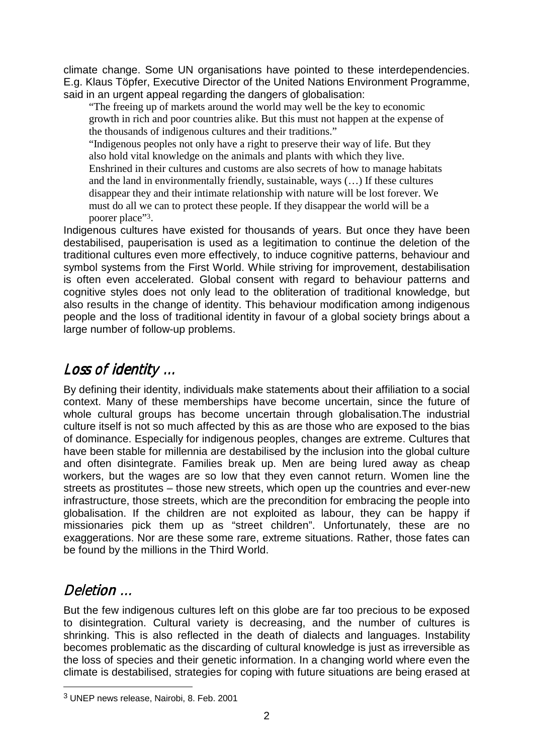climate change. Some UN organisations have pointed to these interdependencies. E.g. Klaus Töpfer, Executive Director of the United Nations Environment Programme, said in an urgent appeal regarding the dangers of globalisation:

"The freeing up of markets around the world may well be the key to economic growth in rich and poor countries alike. But this must not happen at the expense of the thousands of indigenous cultures and their traditions."

"Indigenous peoples not only have a right to preserve their way of life. But they also hold vital knowledge on the animals and plants with which they live. Enshrined in their cultures and customs are also secrets of how to manage habitats and the land in environmentally friendly, sustainable, ways (…) If these cultures disappear they and their intimate relationship with nature will be lost forever. We must do all we can to protect these people. If they disappear the world will be a poorer place"3.

Indigenous cultures have existed for thousands of years. But once they have been destabilised, pauperisation is used as a legitimation to continue the deletion of the traditional cultures even more effectively, to induce cognitive patterns, behaviour and symbol systems from the First World. While striving for improvement, destabilisation is often even accelerated. Global consent with regard to behaviour patterns and cognitive styles does not only lead to the obliteration of traditional knowledge, but also results in the change of identity. This behaviour modification among indigenous people and the loss of traditional identity in favour of a global society brings about a large number of follow-up problems.

## Loss of identity …

By defining their identity, individuals make statements about their affiliation to a social context. Many of these memberships have become uncertain, since the future of whole cultural groups has become uncertain through globalisation.The industrial culture itself is not so much affected by this as are those who are exposed to the bias of dominance. Especially for indigenous peoples, changes are extreme. Cultures that have been stable for millennia are destabilised by the inclusion into the global culture and often disintegrate. Families break up. Men are being lured away as cheap workers, but the wages are so low that they even cannot return. Women line the streets as prostitutes – those new streets, which open up the countries and ever-new infrastructure, those streets, which are the precondition for embracing the people into globalisation. If the children are not exploited as labour, they can be happy if missionaries pick them up as "street children". Unfortunately, these are no exaggerations. Nor are these some rare, extreme situations. Rather, those fates can be found by the millions in the Third World.

### Deletion …

l

But the few indigenous cultures left on this globe are far too precious to be exposed to disintegration. Cultural variety is decreasing, and the number of cultures is shrinking. This is also reflected in the death of dialects and languages. Instability becomes problematic as the discarding of cultural knowledge is just as irreversible as the loss of species and their genetic information. In a changing world where even the climate is destabilised, strategies for coping with future situations are being erased at

<sup>3</sup> UNEP news release, Nairobi, 8. Feb. 2001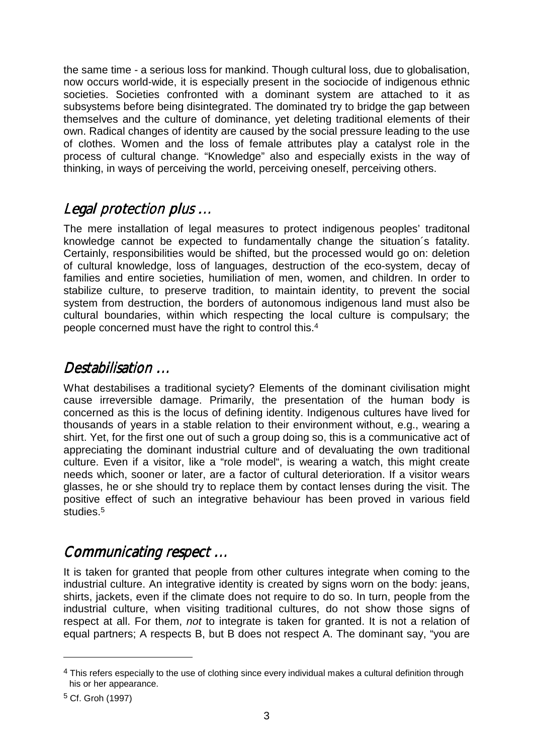the same time - a serious loss for mankind. Though cultural loss, due to globalisation, now occurs world-wide, it is especially present in the sociocide of indigenous ethnic societies. Societies confronted with a dominant system are attached to it as subsystems before being disintegrated. The dominated try to bridge the gap between themselves and the culture of dominance, yet deleting traditional elements of their own. Radical changes of identity are caused by the social pressure leading to the use of clothes. Women and the loss of female attributes play a catalyst role in the process of cultural change. "Knowledge" also and especially exists in the way of thinking, in ways of perceiving the world, perceiving oneself, perceiving others.

## Legal protection plus ...

The mere installation of legal measures to protect indigenous peoples' traditonal knowledge cannot be expected to fundamentally change the situation´s fatality. Certainly, responsibilities would be shifted, but the processed would go on: deletion of cultural knowledge, loss of languages, destruction of the eco-system, decay of families and entire societies, humiliation of men, women, and children. In order to stabilize culture, to preserve tradition, to maintain identity, to prevent the social system from destruction, the borders of autonomous indigenous land must also be cultural boundaries, within which respecting the local culture is compulsary; the people concerned must have the right to control this.4

## Destabilisation ...

What destabilises a traditional syciety? Elements of the dominant civilisation might cause irreversible damage. Primarily, the presentation of the human body is concerned as this is the locus of defining identity. Indigenous cultures have lived for thousands of years in a stable relation to their environment without, e.g., wearing a shirt. Yet, for the first one out of such a group doing so, this is a communicative act of appreciating the dominant industrial culture and of devaluating the own traditional culture. Even if a visitor, like a "role model", is wearing a watch, this might create needs which, sooner or later, are a factor of cultural deterioration. If a visitor wears glasses, he or she should try to replace them by contact lenses during the visit. The positive effect of such an integrative behaviour has been proved in various field studies.<sup>5</sup>

## Communicating respect ...

It is taken for granted that people from other cultures integrate when coming to the industrial culture. An integrative identity is created by signs worn on the body: jeans, shirts, jackets, even if the climate does not require to do so. In turn, people from the industrial culture, when visiting traditional cultures, do not show those signs of respect at all. For them, *not* to integrate is taken for granted. It is not a relation of equal partners; A respects B, but B does not respect A. The dominant say, "you are

l

<sup>4</sup> This refers especially to the use of clothing since every individual makes a cultural definition through his or her appearance.

<sup>5</sup> Cf. Groh (1997)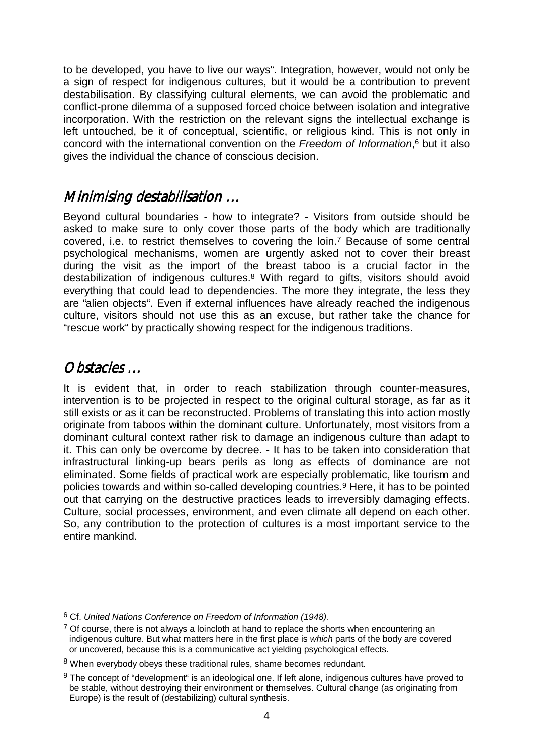to be developed, you have to live our ways". Integration, however, would not only be a sign of respect for indigenous cultures, but it would be a contribution to prevent destabilisation. By classifying cultural elements, we can avoid the problematic and conflict-prone dilemma of a supposed forced choice between isolation and integrative incorporation. With the restriction on the relevant signs the intellectual exchange is left untouched, be it of conceptual, scientific, or religious kind. This is not only in concord with the international convention on the *Freedom of Information*,6 but it also gives the individual the chance of conscious decision.

### Minimising destabilisation ...

Beyond cultural boundaries - how to integrate? - Visitors from outside should be asked to make sure to only cover those parts of the body which are traditionally covered, i.e. to restrict themselves to covering the loin.7 Because of some central psychological mechanisms, women are urgently asked not to cover their breast during the visit as the import of the breast taboo is a crucial factor in the destabilization of indigenous cultures.8 With regard to gifts, visitors should avoid everything that could lead to dependencies. The more they integrate, the less they are "alien objects". Even if external influences have already reached the indigenous culture, visitors should not use this as an excuse, but rather take the chance for "rescue work" by practically showing respect for the indigenous traditions.

### Obstacles ...

It is evident that, in order to reach stabilization through counter-measures, intervention is to be projected in respect to the original cultural storage, as far as it still exists or as it can be reconstructed. Problems of translating this into action mostly originate from taboos within the dominant culture. Unfortunately, most visitors from a dominant cultural context rather risk to damage an indigenous culture than adapt to it. This can only be overcome by decree. - It has to be taken into consideration that infrastructural linking-up bears perils as long as effects of dominance are not eliminated. Some fields of practical work are especially problematic, like tourism and policies towards and within so-called developing countries.9 Here, it has to be pointed out that carrying on the destructive practices leads to irreversibly damaging effects. Culture, social processes, environment, and even climate all depend on each other. So, any contribution to the protection of cultures is a most important service to the entire mankind.

l 6 Cf. *United Nations Conference on Freedom of Information (1948).*

 $7$  Of course, there is not always a loincloth at hand to replace the shorts when encountering an indigenous culture. But what matters here in the first place is *which* parts of the body are covered or uncovered, because this is a communicative act yielding psychological effects.

<sup>&</sup>lt;sup>8</sup> When everybody obeys these traditional rules, shame becomes redundant.

<sup>&</sup>lt;sup>9</sup> The concept of "development" is an ideological one. If left alone, indigenous cultures have proved to be stable, without destroying their environment or themselves. Cultural change (as originating from Europe) is the result of (*de*stabilizing) cultural synthesis.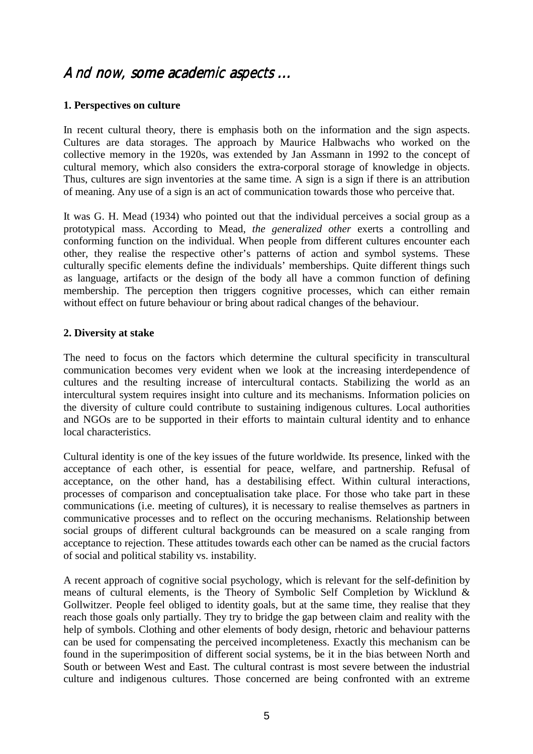### And now, some academic aspects ...

### **1. Perspectives on culture**

In recent cultural theory, there is emphasis both on the information and the sign aspects. Cultures are data storages. The approach by Maurice Halbwachs who worked on the collective memory in the 1920s, was extended by Jan Assmann in 1992 to the concept of cultural memory, which also considers the extra-corporal storage of knowledge in objects. Thus, cultures are sign inventories at the same time. A sign is a sign if there is an attribution of meaning. Any use of a sign is an act of communication towards those who perceive that.

It was G. H. Mead (1934) who pointed out that the individual perceives a social group as a prototypical mass. According to Mead, *the generalized other* exerts a controlling and conforming function on the individual. When people from different cultures encounter each other, they realise the respective other's patterns of action and symbol systems. These culturally specific elements define the individuals' memberships. Quite different things such as language, artifacts or the design of the body all have a common function of defining membership. The perception then triggers cognitive processes, which can either remain without effect on future behaviour or bring about radical changes of the behaviour.

#### **2. Diversity at stake**

The need to focus on the factors which determine the cultural specificity in transcultural communication becomes very evident when we look at the increasing interdependence of cultures and the resulting increase of intercultural contacts. Stabilizing the world as an intercultural system requires insight into culture and its mechanisms. Information policies on the diversity of culture could contribute to sustaining indigenous cultures. Local authorities and NGOs are to be supported in their efforts to maintain cultural identity and to enhance local characteristics.

Cultural identity is one of the key issues of the future worldwide. Its presence, linked with the acceptance of each other, is essential for peace, welfare, and partnership. Refusal of acceptance, on the other hand, has a destabilising effect. Within cultural interactions, processes of comparison and conceptualisation take place. For those who take part in these communications (i.e. meeting of cultures), it is necessary to realise themselves as partners in communicative processes and to reflect on the occuring mechanisms. Relationship between social groups of different cultural backgrounds can be measured on a scale ranging from acceptance to rejection. These attitudes towards each other can be named as the crucial factors of social and political stability vs. instability.

A recent approach of cognitive social psychology, which is relevant for the self-definition by means of cultural elements, is the Theory of Symbolic Self Completion by Wicklund & Gollwitzer. People feel obliged to identity goals, but at the same time, they realise that they reach those goals only partially. They try to bridge the gap between claim and reality with the help of symbols. Clothing and other elements of body design, rhetoric and behaviour patterns can be used for compensating the perceived incompleteness. Exactly this mechanism can be found in the superimposition of different social systems, be it in the bias between North and South or between West and East. The cultural contrast is most severe between the industrial culture and indigenous cultures. Those concerned are being confronted with an extreme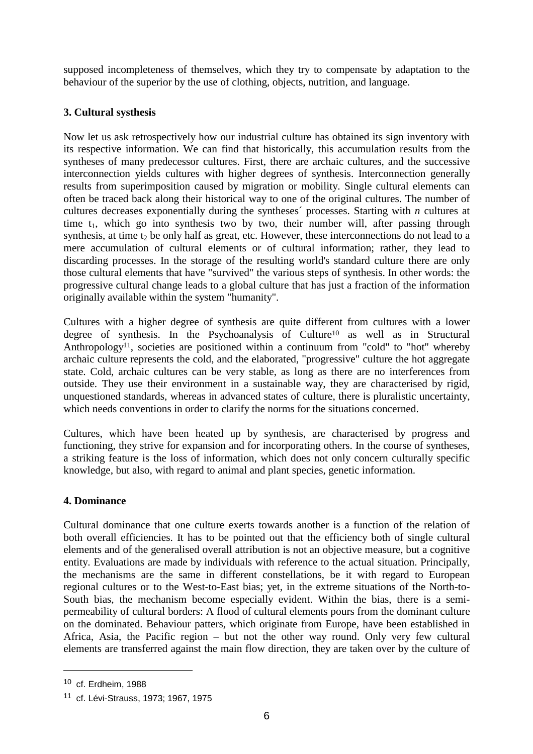supposed incompleteness of themselves, which they try to compensate by adaptation to the behaviour of the superior by the use of clothing, objects, nutrition, and language.

### **3. Cultural systhesis**

Now let us ask retrospectively how our industrial culture has obtained its sign inventory with its respective information. We can find that historically, this accumulation results from the syntheses of many predecessor cultures. First, there are archaic cultures, and the successive interconnection yields cultures with higher degrees of synthesis. Interconnection generally results from superimposition caused by migration or mobility. Single cultural elements can often be traced back along their historical way to one of the original cultures. The number of cultures decreases exponentially during the syntheses´ processes. Starting with *n* cultures at time  $t_1$ , which go into synthesis two by two, their number will, after passing through synthesis, at time  $t_2$  be only half as great, etc. However, these interconnections do not lead to a mere accumulation of cultural elements or of cultural information; rather, they lead to discarding processes. In the storage of the resulting world's standard culture there are only those cultural elements that have "survived" the various steps of synthesis. In other words: the progressive cultural change leads to a global culture that has just a fraction of the information originally available within the system "humanity".

Cultures with a higher degree of synthesis are quite different from cultures with a lower degree of synthesis. In the Psychoanalysis of Culture10 as well as in Structural Anthropology11, societies are positioned within a continuum from "cold" to "hot" whereby archaic culture represents the cold, and the elaborated, "progressive" culture the hot aggregate state. Cold, archaic cultures can be very stable, as long as there are no interferences from outside. They use their environment in a sustainable way, they are characterised by rigid, unquestioned standards, whereas in advanced states of culture, there is pluralistic uncertainty, which needs conventions in order to clarify the norms for the situations concerned.

Cultures, which have been heated up by synthesis, are characterised by progress and functioning, they strive for expansion and for incorporating others. In the course of syntheses, a striking feature is the loss of information, which does not only concern culturally specific knowledge, but also, with regard to animal and plant species, genetic information.

### **4. Dominance**

Cultural dominance that one culture exerts towards another is a function of the relation of both overall efficiencies. It has to be pointed out that the efficiency both of single cultural elements and of the generalised overall attribution is not an objective measure, but a cognitive entity. Evaluations are made by individuals with reference to the actual situation. Principally, the mechanisms are the same in different constellations, be it with regard to European regional cultures or to the West-to-East bias; yet, in the extreme situations of the North-to-South bias, the mechanism become especially evident. Within the bias, there is a semipermeability of cultural borders: A flood of cultural elements pours from the dominant culture on the dominated. Behaviour patters, which originate from Europe, have been established in Africa, Asia, the Pacific region – but not the other way round. Only very few cultural elements are transferred against the main flow direction, they are taken over by the culture of

l

<sup>10</sup> cf. Erdheim, 1988

<sup>11</sup> cf. Lévi-Strauss, 1973; 1967, 1975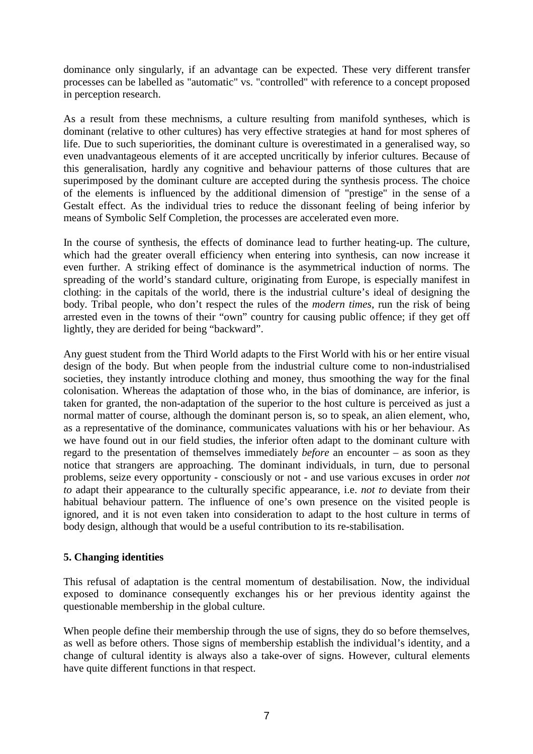dominance only singularly, if an advantage can be expected. These very different transfer processes can be labelled as "automatic" vs. "controlled" with reference to a concept proposed in perception research.

As a result from these mechnisms, a culture resulting from manifold syntheses, which is dominant (relative to other cultures) has very effective strategies at hand for most spheres of life. Due to such superiorities, the dominant culture is overestimated in a generalised way, so even unadvantageous elements of it are accepted uncritically by inferior cultures. Because of this generalisation, hardly any cognitive and behaviour patterns of those cultures that are superimposed by the dominant culture are accepted during the synthesis process. The choice of the elements is influenced by the additional dimension of "prestige" in the sense of a Gestalt effect. As the individual tries to reduce the dissonant feeling of being inferior by means of Symbolic Self Completion, the processes are accelerated even more.

In the course of synthesis, the effects of dominance lead to further heating-up. The culture, which had the greater overall efficiency when entering into synthesis, can now increase it even further. A striking effect of dominance is the asymmetrical induction of norms. The spreading of the world's standard culture, originating from Europe, is especially manifest in clothing: in the capitals of the world, there is the industrial culture's ideal of designing the body. Tribal people, who don't respect the rules of the *modern times*, run the risk of being arrested even in the towns of their "own" country for causing public offence; if they get off lightly, they are derided for being "backward".

Any guest student from the Third World adapts to the First World with his or her entire visual design of the body. But when people from the industrial culture come to non-industrialised societies, they instantly introduce clothing and money, thus smoothing the way for the final colonisation. Whereas the adaptation of those who, in the bias of dominance, are inferior, is taken for granted, the non-adaptation of the superior to the host culture is perceived as just a normal matter of course, although the dominant person is, so to speak, an alien element, who, as a representative of the dominance, communicates valuations with his or her behaviour. As we have found out in our field studies, the inferior often adapt to the dominant culture with regard to the presentation of themselves immediately *before* an encounter – as soon as they notice that strangers are approaching. The dominant individuals, in turn, due to personal problems, seize every opportunity - consciously or not - and use various excuses in order *not to* adapt their appearance to the culturally specific appearance, i.e. *not to* deviate from their habitual behaviour pattern. The influence of one's own presence on the visited people is ignored, and it is not even taken into consideration to adapt to the host culture in terms of body design, although that would be a useful contribution to its re-stabilisation.

### **5. Changing identities**

This refusal of adaptation is the central momentum of destabilisation. Now, the individual exposed to dominance consequently exchanges his or her previous identity against the questionable membership in the global culture.

When people define their membership through the use of signs, they do so before themselves, as well as before others. Those signs of membership establish the individual's identity, and a change of cultural identity is always also a take-over of signs. However, cultural elements have quite different functions in that respect.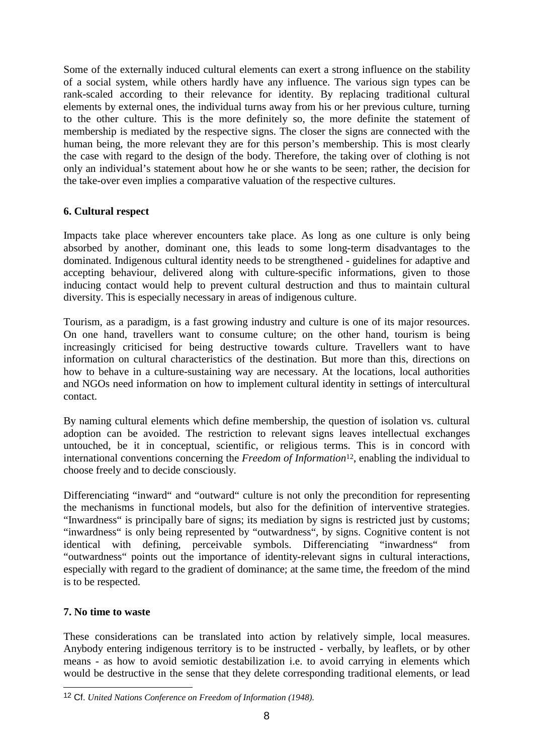Some of the externally induced cultural elements can exert a strong influence on the stability of a social system, while others hardly have any influence. The various sign types can be rank-scaled according to their relevance for identity. By replacing traditional cultural elements by external ones, the individual turns away from his or her previous culture, turning to the other culture. This is the more definitely so, the more definite the statement of membership is mediated by the respective signs. The closer the signs are connected with the human being, the more relevant they are for this person's membership. This is most clearly the case with regard to the design of the body. Therefore, the taking over of clothing is not only an individual's statement about how he or she wants to be seen; rather, the decision for the take-over even implies a comparative valuation of the respective cultures.

### **6. Cultural respect**

Impacts take place wherever encounters take place. As long as one culture is only being absorbed by another, dominant one, this leads to some long-term disadvantages to the dominated. Indigenous cultural identity needs to be strengthened - guidelines for adaptive and accepting behaviour, delivered along with culture-specific informations, given to those inducing contact would help to prevent cultural destruction and thus to maintain cultural diversity. This is especially necessary in areas of indigenous culture.

Tourism, as a paradigm, is a fast growing industry and culture is one of its major resources. On one hand, travellers want to consume culture; on the other hand, tourism is being increasingly criticised for being destructive towards culture. Travellers want to have information on cultural characteristics of the destination. But more than this, directions on how to behave in a culture-sustaining way are necessary. At the locations, local authorities and NGOs need information on how to implement cultural identity in settings of intercultural contact.

By naming cultural elements which define membership, the question of isolation vs. cultural adoption can be avoided. The restriction to relevant signs leaves intellectual exchanges untouched, be it in conceptual, scientific, or religious terms. This is in concord with international conventions concerning the *Freedom of Information*12, enabling the individual to choose freely and to decide consciously.

Differenciating "inward" and "outward" culture is not only the precondition for representing the mechanisms in functional models, but also for the definition of interventive strategies. "Inwardness" is principally bare of signs; its mediation by signs is restricted just by customs; "inwardness" is only being represented by "outwardness", by signs. Cognitive content is not identical with defining, perceivable symbols. Differenciating "inwardness" from "outwardness" points out the importance of identity-relevant signs in cultural interactions, especially with regard to the gradient of dominance; at the same time, the freedom of the mind is to be respected.

### **7. No time to waste**

l

These considerations can be translated into action by relatively simple, local measures. Anybody entering indigenous territory is to be instructed - verbally, by leaflets, or by other means - as how to avoid semiotic destabilization i.e. to avoid carrying in elements which would be destructive in the sense that they delete corresponding traditional elements, or lead

<sup>12</sup> Cf. *United Nations Conference on Freedom of Information (1948).*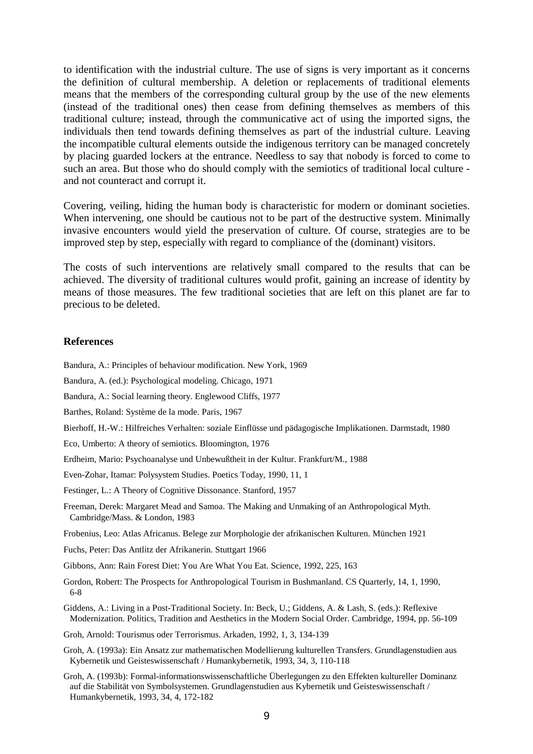to identification with the industrial culture. The use of signs is very important as it concerns the definition of cultural membership. A deletion or replacements of traditional elements means that the members of the corresponding cultural group by the use of the new elements (instead of the traditional ones) then cease from defining themselves as members of this traditional culture; instead, through the communicative act of using the imported signs, the individuals then tend towards defining themselves as part of the industrial culture. Leaving the incompatible cultural elements outside the indigenous territory can be managed concretely by placing guarded lockers at the entrance. Needless to say that nobody is forced to come to such an area. But those who do should comply with the semiotics of traditional local culture and not counteract and corrupt it.

Covering, veiling, hiding the human body is characteristic for modern or dominant societies. When intervening, one should be cautious not to be part of the destructive system. Minimally invasive encounters would yield the preservation of culture. Of course, strategies are to be improved step by step, especially with regard to compliance of the (dominant) visitors.

The costs of such interventions are relatively small compared to the results that can be achieved. The diversity of traditional cultures would profit, gaining an increase of identity by means of those measures. The few traditional societies that are left on this planet are far to precious to be deleted.

#### **References**

Bandura, A.: Principles of behaviour modification. New York, 1969

- Bandura, A. (ed.): Psychological modeling. Chicago, 1971
- Bandura, A.: Social learning theory. Englewood Cliffs, 1977
- Barthes, Roland: Système de la mode. Paris, 1967
- Bierhoff, H.-W.: Hilfreiches Verhalten: soziale Einflüsse und pädagogische Implikationen. Darmstadt, 1980
- Eco, Umberto: A theory of semiotics. Bloomington, 1976
- Erdheim, Mario: Psychoanalyse und Unbewußtheit in der Kultur. Frankfurt/M., 1988
- Even-Zohar, Itamar: Polysystem Studies. Poetics Today, 1990, 11, 1
- Festinger, L.: A Theory of Cognitive Dissonance. Stanford, 1957
- Freeman, Derek: Margaret Mead and Samoa. The Making and Unmaking of an Anthropological Myth. Cambridge/Mass. & London, 1983
- Frobenius, Leo: Atlas Africanus. Belege zur Morphologie der afrikanischen Kulturen. München 1921
- Fuchs, Peter: Das Antlitz der Afrikanerin. Stuttgart 1966
- Gibbons, Ann: Rain Forest Diet: You Are What You Eat. Science, 1992, 225, 163
- Gordon, Robert: The Prospects for Anthropological Tourism in Bushmanland. CS Quarterly, 14, 1, 1990, 6-8
- Giddens, A.: Living in a Post-Traditional Society. In: Beck, U.; Giddens, A. & Lash, S. (eds.): Reflexive Modernization. Politics, Tradition and Aesthetics in the Modern Social Order. Cambridge, 1994, pp. 56-109
- Groh, Arnold: Tourismus oder Terrorismus. Arkaden, 1992, 1, 3, 134-139
- Groh, A. (1993a): Ein Ansatz zur mathematischen Modellierung kulturellen Transfers. Grundlagenstudien aus Kybernetik und Geisteswissenschaft / Humankybernetik, 1993, 34, 3, 110-118
- Groh, A. (1993b): Formal-informationswissenschaftliche Überlegungen zu den Effekten kultureller Dominanz auf die Stabilität von Symbolsystemen. Grundlagenstudien aus Kybernetik und Geisteswissenschaft / Humankybernetik, 1993, 34, 4, 172-182